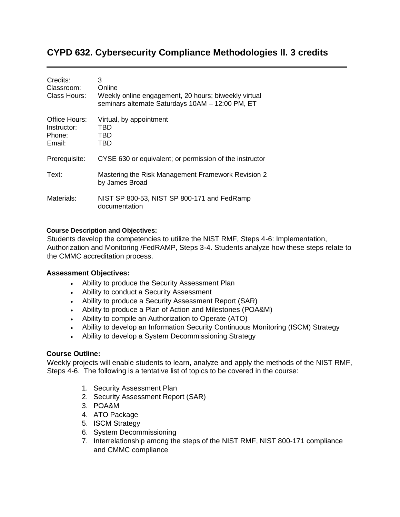# **CYPD 632. Cybersecurity Compliance Methodologies II. 3 credits**

| Credits:<br>Classroom:<br>Class Hours:           | 3<br>Online<br>Weekly online engagement, 20 hours; biweekly virtual<br>seminars alternate Saturdays 10AM - 12:00 PM, ET |
|--------------------------------------------------|-------------------------------------------------------------------------------------------------------------------------|
| Office Hours:<br>Instructor:<br>Phone:<br>Email: | Virtual, by appointment<br>TBD<br>TBD<br>TBD                                                                            |
| Prerequisite:                                    | CYSE 630 or equivalent; or permission of the instructor                                                                 |
| Text:                                            | Mastering the Risk Management Framework Revision 2<br>by James Broad                                                    |
| Materials:                                       | NIST SP 800-53, NIST SP 800-171 and FedRamp<br>documentation                                                            |

#### **Course Description and Objectives:**

Students develop the competencies to utilize the NIST RMF, Steps 4-6: Implementation, Authorization and Monitoring /FedRAMP, Steps 3-4. Students analyze how these steps relate to the CMMC accreditation process.

### **Assessment Objectives:**

- Ability to produce the Security Assessment Plan
- Ability to conduct a Security Assessment
- Ability to produce a Security Assessment Report (SAR)
- Ability to produce a Plan of Action and Milestones (POA&M)
- Ability to compile an Authorization to Operate (ATO)
- Ability to develop an Information Security Continuous Monitoring (ISCM) Strategy
- Ability to develop a System Decommissioning Strategy

### **Course Outline:**

Weekly projects will enable students to learn, analyze and apply the methods of the NIST RMF, Steps 4-6. The following is a tentative list of topics to be covered in the course:

- 1. Security Assessment Plan
- 2. Security Assessment Report (SAR)
- 3. POA&M
- 4. ATO Package
- 5. ISCM Strategy
- 6. System Decommissioning
- 7. Interrelationship among the steps of the NIST RMF, NIST 800-171 compliance and CMMC compliance